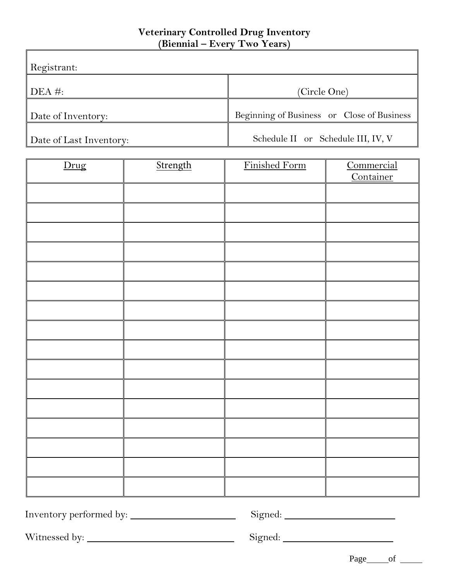## **Veterinary Controlled Drug Inventory (Biennial – Every Two Years)**

| Registrant:                |                                            |
|----------------------------|--------------------------------------------|
| $\overline{\text{DEA}}$ #: | (Circle One)                               |
| Date of Inventory:         | Beginning of Business or Close of Business |
| Date of Last Inventory:    | Schedule II or Schedule III, IV, V         |

| Drug | Strength | Finished Form | Commercial<br>Container |
|------|----------|---------------|-------------------------|
|      |          |               |                         |
|      |          |               |                         |
|      |          |               |                         |
|      |          |               |                         |
|      |          |               |                         |
|      |          |               |                         |
|      |          |               |                         |
|      |          |               |                         |
|      |          |               |                         |
|      |          |               |                         |
|      |          |               |                         |
|      |          |               |                         |
|      |          |               |                         |
|      |          |               |                         |
|      |          |               |                         |
|      |          |               |                         |

Inventory performed by: Signed:

Witnessed by: Signed:

Page\_\_\_\_\_\_\_of

 $\overline{\mathbf{1}}$